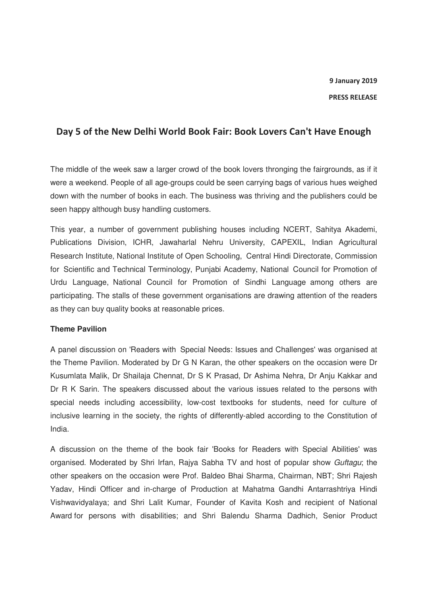# **Day 5 of the New Delhi World Book Fair: Book Lovers Can't Have Enough**

The middle of the week saw a larger crowd of the book lovers thronging the fairgrounds, as if it were a weekend. People of all age-groups could be seen carrying bags of various hues weighed down with the number of books in each. The business was thriving and the publishers could be seen happy although busy handling customers.

This year, a number of government publishing houses including NCERT, Sahitya Akademi, Publications Division, ICHR, Jawaharlal Nehru University, CAPEXIL, Indian Agricultural Research Institute, National Institute of Open Schooling, Central Hindi Directorate, Commission for Scientific and Technical Terminology, Punjabi Academy, National Council for Promotion of Urdu Language, National Council for Promotion of Sindhi Language among others are participating. The stalls of these government organisations are drawing attention of the readers as they can buy quality books at reasonable prices.

### **Theme Pavilion**

A panel discussion on 'Readers with Special Needs: Issues and Challenges' was organised at the Theme Pavilion. Moderated by Dr G N Karan, the other speakers on the occasion were Dr Kusumlata Malik, Dr Shailaja Chennat, Dr S K Prasad, Dr Ashima Nehra, Dr Anju Kakkar and Dr R K Sarin. The speakers discussed about the various issues related to the persons with special needs including accessibility, low-cost textbooks for students, need for culture of inclusive learning in the society, the rights of differently-abled according to the Constitution of India.

A discussion on the theme of the book fair 'Books for Readers with Special Abilities' was organised. Moderated by Shri Irfan, Rajya Sabha TV and host of popular show Guftagu; the other speakers on the occasion were Prof. Baldeo Bhai Sharma, Chairman, NBT; Shri Rajesh Yadav, Hindi Officer and in-charge of Production at Mahatma Gandhi Antarrashtriya Hindi Vishwavidyalaya; and Shri Lalit Kumar, Founder of Kavita Kosh and recipient of National Award for persons with disabilities; and Shri Balendu Sharma Dadhich, Senior Product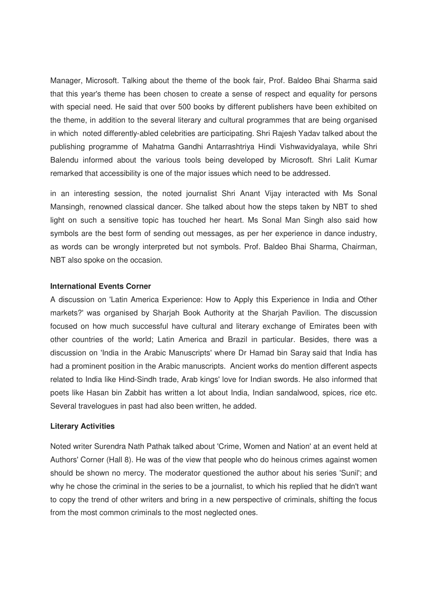Manager, Microsoft. Talking about the theme of the book fair, Prof. Baldeo Bhai Sharma said that this year's theme has been chosen to create a sense of respect and equality for persons with special need. He said that over 500 books by different publishers have been exhibited on the theme, in addition to the several literary and cultural programmes that are being organised in which noted differently-abled celebrities are participating. Shri Rajesh Yadav talked about the publishing programme of Mahatma Gandhi Antarrashtriya Hindi Vishwavidyalaya, while Shri Balendu informed about the various tools being developed by Microsoft. Shri Lalit Kumar remarked that accessibility is one of the major issues which need to be addressed.

in an interesting session, the noted journalist Shri Anant Vijay interacted with Ms Sonal Mansingh, renowned classical dancer. She talked about how the steps taken by NBT to shed light on such a sensitive topic has touched her heart. Ms Sonal Man Singh also said how symbols are the best form of sending out messages, as per her experience in dance industry, as words can be wrongly interpreted but not symbols. Prof. Baldeo Bhai Sharma, Chairman, NBT also spoke on the occasion.

#### **International Events Corner**

A discussion on 'Latin America Experience: How to Apply this Experience in India and Other markets?' was organised by Sharjah Book Authority at the Sharjah Pavilion. The discussion focused on how much successful have cultural and literary exchange of Emirates been with other countries of the world; Latin America and Brazil in particular. Besides, there was a discussion on 'India in the Arabic Manuscripts' where Dr Hamad bin Saray said that India has had a prominent position in the Arabic manuscripts. Ancient works do mention different aspects related to India like Hind-Sindh trade, Arab kings' love for Indian swords. He also informed that poets like Hasan bin Zabbit has written a lot about India, Indian sandalwood, spices, rice etc. Several travelogues in past had also been written, he added.

#### **Literary Activities**

Noted writer Surendra Nath Pathak talked about 'Crime, Women and Nation' at an event held at Authors' Corner (Hall 8). He was of the view that people who do heinous crimes against women should be shown no mercy. The moderator questioned the author about his series 'Sunil'; and why he chose the criminal in the series to be a journalist, to which his replied that he didn't want to copy the trend of other writers and bring in a new perspective of criminals, shifting the focus from the most common criminals to the most neglected ones.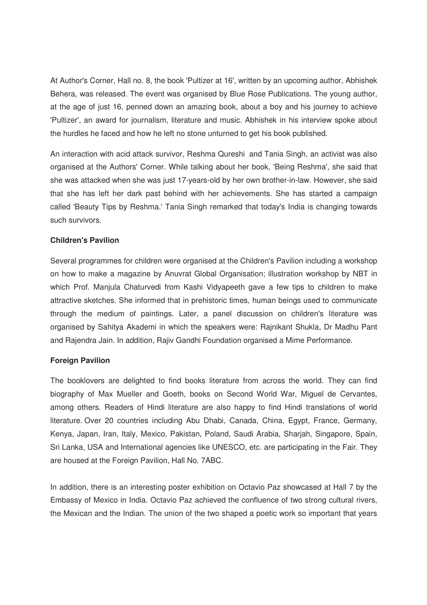At Author's Corner, Hall no. 8, the book 'Pultizer at 16', written by an upcoming author, Abhishek Behera, was released. The event was organised by Blue Rose Publications. The young author, at the age of just 16, penned down an amazing book, about a boy and his journey to achieve 'Pultizer', an award for journalism, literature and music. Abhishek in his interview spoke about the hurdles he faced and how he left no stone unturned to get his book published.

An interaction with acid attack survivor, Reshma Qureshi and Tania Singh, an activist was also organised at the Authors' Corner. While talking about her book, 'Being Reshma', she said that she was attacked when she was just 17-years-old by her own brother-in-law. However, she said that she has left her dark past behind with her achievements. She has started a campaign called 'Beauty Tips by Reshma.' Tania Singh remarked that today's India is changing towards such survivors.

## **Children's Pavilion**

Several programmes for children were organised at the Children's Pavilion including a workshop on how to make a magazine by Anuvrat Global Organisation; illustration workshop by NBT in which Prof. Manjula Chaturvedi from Kashi Vidyapeeth gave a few tips to children to make attractive sketches. She informed that in prehistoric times, human beings used to communicate through the medium of paintings. Later, a panel discussion on children's literature was organised by Sahitya Akademi in which the speakers were: Rajnikant Shukla, Dr Madhu Pant and Rajendra Jain. In addition, Rajiv Gandhi Foundation organised a Mime Performance.

### **Foreign Pavilion**

The booklovers are delighted to find books literature from across the world. They can find biography of Max Mueller and Goeth, books on Second World War, Miguel de Cervantes, among others. Readers of Hindi literature are also happy to find Hindi translations of world literature. Over 20 countries including Abu Dhabi, Canada, China, Egypt, France, Germany, Kenya, Japan, Iran, Italy, Mexico, Pakistan, Poland, Saudi Arabia, Sharjah, Singapore, Spain, Sri Lanka, USA and International agencies like UNESCO, etc. are participating in the Fair. They are housed at the Foreign Pavilion, Hall No. 7ABC.

In addition, there is an interesting poster exhibition on Octavio Paz showcased at Hall 7 by the Embassy of Mexico in India. Octavio Paz achieved the confluence of two strong cultural rivers, the Mexican and the Indian. The union of the two shaped a poetic work so important that years